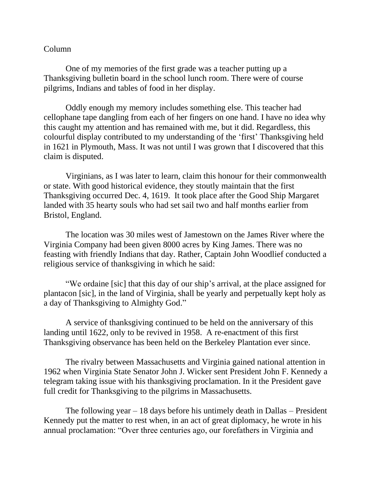## Column

One of my memories of the first grade was a teacher putting up a Thanksgiving bulletin board in the school lunch room. There were of course pilgrims, Indians and tables of food in her display.

Oddly enough my memory includes something else. This teacher had cellophane tape dangling from each of her fingers on one hand. I have no idea why this caught my attention and has remained with me, but it did. Regardless, this colourful display contributed to my understanding of the 'first' Thanksgiving held in 1621 in Plymouth, Mass. It was not until I was grown that I discovered that this claim is disputed.

Virginians, as I was later to learn, claim this honour for their commonwealth or state. With good historical evidence, they stoutly maintain that the first Thanksgiving occurred Dec. 4, 1619. It took place after the Good Ship Margaret landed with 35 hearty souls who had set sail two and half months earlier from Bristol, England.

The location was 30 miles west of Jamestown on the James River where the Virginia Company had been given 8000 acres by King James. There was no feasting with friendly Indians that day. Rather, Captain John Woodlief conducted a religious service of thanksgiving in which he said:

"We ordaine [sic] that this day of our ship's arrival, at the place assigned for plantacon [sic], in the land of Virginia, shall be yearly and perpetually kept holy as a day of Thanksgiving to Almighty God."

A service of thanksgiving continued to be held on the anniversary of this landing until 1622, only to be revived in 1958. A re-enactment of this first Thanksgiving observance has been held on the Berkeley Plantation ever since.

The rivalry between Massachusetts and Virginia gained national attention in 1962 when Virginia State Senator John J. Wicker sent President John F. Kennedy a telegram taking issue with his thanksgiving proclamation. In it the President gave full credit for Thanksgiving to the pilgrims in Massachusetts.

The following year  $-18$  days before his untimely death in Dallas – President Kennedy put the matter to rest when, in an act of great diplomacy, he wrote in his annual proclamation: "Over three centuries ago, our forefathers in Virginia and